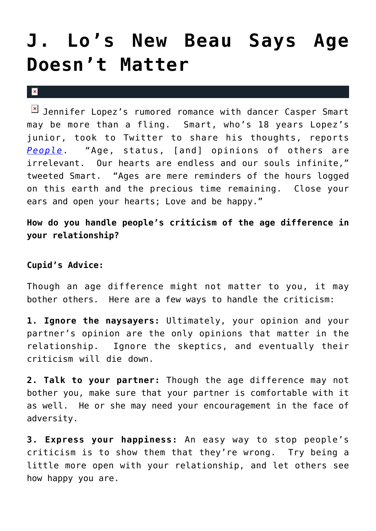## **[J. Lo's New Beau Says Age](https://cupidspulse.com/25684/jennifer-lopez-jlo-new-beau-dancer-casper-smart-says-age-doesnt-matter-marc-anthony-divorce/) [Doesn't Matter](https://cupidspulse.com/25684/jennifer-lopez-jlo-new-beau-dancer-casper-smart-says-age-doesnt-matter-marc-anthony-divorce/)**

 $\mathbf x$ 

 $\boxed{\times}$  Jennifer Lopez's rumored romance with dancer Casper Smart may be more than a fling. Smart, who's 18 years Lopez's junior, took to Twitter to share his thoughts, reports *[People](http://www.people.com/people/article/0,,20562641,00.html)*. "Age, status, [and] opinions of others are irrelevant. Our hearts are endless and our souls infinite," tweeted Smart. "Ages are mere reminders of the hours logged on this earth and the precious time remaining. Close your ears and open your hearts; Love and be happy."

**How do you handle people's criticism of the age difference in your relationship?**

## **Cupid's Advice:**

Though an age difference might not matter to you, it may bother others. Here are a few ways to handle the criticism:

**1. Ignore the naysayers:** Ultimately, your opinion and your partner's opinion are the only opinions that matter in the relationship. Ignore the skeptics, and eventually their criticism will die down.

**2. Talk to your partner:** Though the age difference may not bother you, make sure that your partner is comfortable with it as well. He or she may need your encouragement in the face of adversity.

**3. Express your happiness:** An easy way to stop people's criticism is to show them that they're wrong. Try being a little more open with your relationship, and let others see how happy you are.